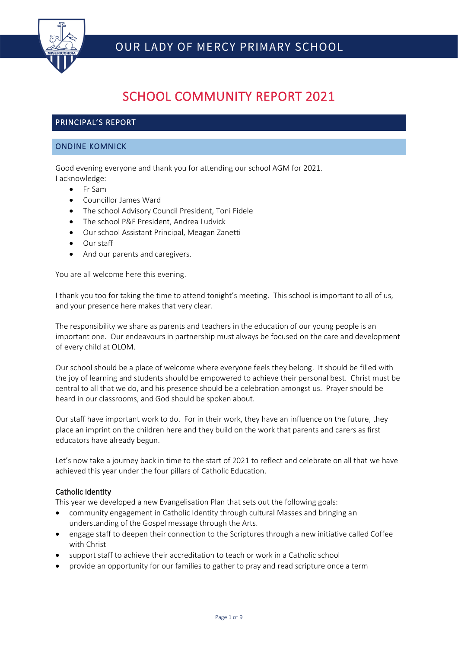

# SCHOOL COMMUNITY REPORT 2021

# PRINCIPAL'S REPORT

# ONDINE KOMNICK

Good evening everyone and thank you for attending our school AGM for 2021. I acknowledge:

- Fr Sam
- Councillor James Ward
- The school Advisory Council President, Toni Fidele
- The school P&F President, Andrea Ludvick
- Our school Assistant Principal, Meagan Zanetti
- Our staff
- And our parents and caregivers.

You are all welcome here this evening.

I thank you too for taking the time to attend tonight's meeting. This school is important to all of us, and your presence here makes that very clear.

The responsibility we share as parents and teachers in the education of our young people is an important one. Our endeavours in partnership must always be focused on the care and development of every child at OLOM.

Our school should be a place of welcome where everyone feels they belong. It should be filled with the joy of learning and students should be empowered to achieve their personal best. Christ must be central to all that we do, and his presence should be a celebration amongst us. Prayer should be heard in our classrooms, and God should be spoken about.

Our staff have important work to do. For in their work, they have an influence on the future, they place an imprint on the children here and they build on the work that parents and carers as first educators have already begun.

Let's now take a journey back in time to the start of 2021 to reflect and celebrate on all that we have achieved this year under the four pillars of Catholic Education.

## Catholic Identity

This year we developed a new Evangelisation Plan that sets out the following goals:

- community engagement in Catholic Identity through cultural Masses and bringing an understanding of the Gospel message through the Arts.
- engage staff to deepen their connection to the Scriptures through a new initiative called Coffee with Christ
- support staff to achieve their accreditation to teach or work in a Catholic school
- provide an opportunity for our families to gather to pray and read scripture once a term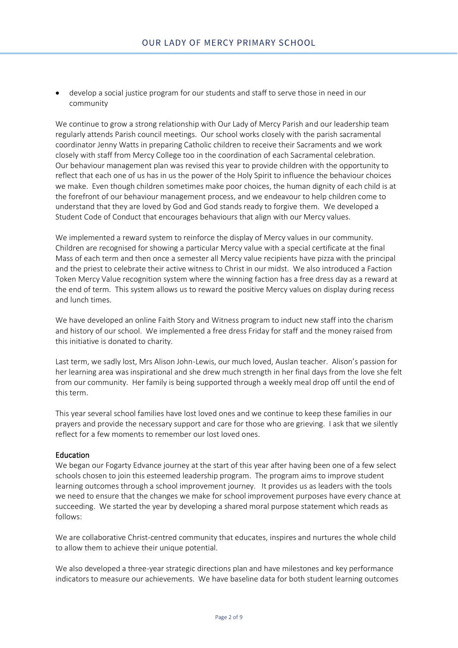• develop a social justice program for our students and staff to serve those in need in our community

We continue to grow a strong relationship with Our Lady of Mercy Parish and our leadership team regularly attends Parish council meetings. Our school works closely with the parish sacramental coordinator Jenny Watts in preparing Catholic children to receive their Sacraments and we work closely with staff from Mercy College too in the coordination of each Sacramental celebration. Our behaviour management plan was revised this year to provide children with the opportunity to reflect that each one of us has in us the power of the Holy Spirit to influence the behaviour choices we make. Even though children sometimes make poor choices, the human dignity of each child is at the forefront of our behaviour management process, and we endeavour to help children come to understand that they are loved by God and God stands ready to forgive them. We developed a Student Code of Conduct that encourages behaviours that align with our Mercy values.

We implemented a reward system to reinforce the display of Mercy values in our community. Children are recognised for showing a particular Mercy value with a special certificate at the final Mass of each term and then once a semester all Mercy value recipients have pizza with the principal and the priest to celebrate their active witness to Christ in our midst. We also introduced a Faction Token Mercy Value recognition system where the winning faction has a free dress day as a reward at the end of term. This system allows us to reward the positive Mercy values on display during recess and lunch times.

We have developed an online Faith Story and Witness program to induct new staff into the charism and history of our school. We implemented a free dress Friday for staff and the money raised from this initiative is donated to charity.

Last term, we sadly lost, Mrs Alison John-Lewis, our much loved, Auslan teacher. Alison's passion for her learning area was inspirational and she drew much strength in her final days from the love she felt from our community. Her family is being supported through a weekly meal drop off until the end of this term.

This year several school families have lost loved ones and we continue to keep these families in our prayers and provide the necessary support and care for those who are grieving. I ask that we silently reflect for a few moments to remember our lost loved ones.

#### **Education**

We began our Fogarty Edvance journey at the start of this year after having been one of a few select schools chosen to join this esteemed leadership program. The program aims to improve student learning outcomes through a school improvement journey. It provides us as leaders with the tools we need to ensure that the changes we make for school improvement purposes have every chance at succeeding. We started the year by developing a shared moral purpose statement which reads as follows:

We are collaborative Christ-centred community that educates, inspires and nurtures the whole child to allow them to achieve their unique potential.

We also developed a three-year strategic directions plan and have milestones and key performance indicators to measure our achievements. We have baseline data for both student learning outcomes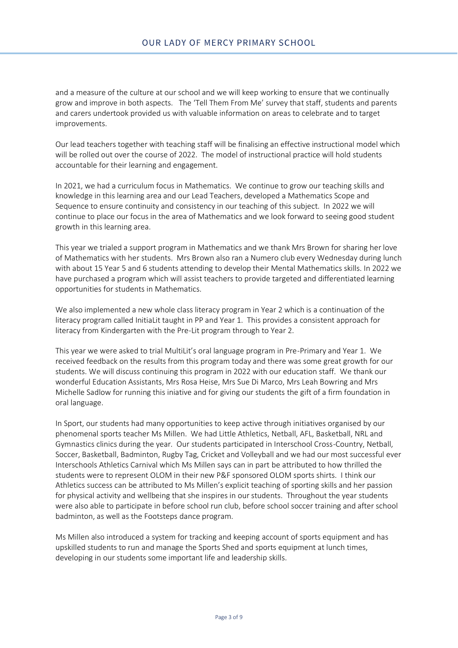and a measure of the culture at our school and we will keep working to ensure that we continually grow and improve in both aspects. The 'Tell Them From Me' survey that staff, students and parents and carers undertook provided us with valuable information on areas to celebrate and to target improvements.

Our lead teachers together with teaching staff will be finalising an effective instructional model which will be rolled out over the course of 2022. The model of instructional practice will hold students accountable for their learning and engagement.

In 2021, we had a curriculum focus in Mathematics. We continue to grow our teaching skills and knowledge in this learning area and our Lead Teachers, developed a Mathematics Scope and Sequence to ensure continuity and consistency in our teaching of this subject. In 2022 we will continue to place our focus in the area of Mathematics and we look forward to seeing good student growth in this learning area.

This year we trialed a support program in Mathematics and we thank Mrs Brown for sharing her love of Mathematics with her students. Mrs Brown also ran a Numero club every Wednesday during lunch with about 15 Year 5 and 6 students attending to develop their Mental Mathematics skills. In 2022 we have purchased a program which will assist teachers to provide targeted and differentiated learning opportunities for students in Mathematics.

We also implemented a new whole class literacy program in Year 2 which is a continuation of the literacy program called InitiaLit taught in PP and Year 1. This provides a consistent approach for literacy from Kindergarten with the Pre-Lit program through to Year 2.

This year we were asked to trial MultiLit's oral language program in Pre-Primary and Year 1. We received feedback on the results from this program today and there was some great growth for our students. We will discuss continuing this program in 2022 with our education staff. We thank our wonderful Education Assistants, Mrs Rosa Heise, Mrs Sue Di Marco, Mrs Leah Bowring and Mrs Michelle Sadlow for running this iniative and for giving our students the gift of a firm foundation in oral language.

In Sport, our students had many opportunities to keep active through initiatives organised by our phenomenal sports teacher Ms Millen. We had Little Athletics, Netball, AFL, Basketball, NRL and Gymnastics clinics during the year. Our students participated in Interschool Cross-Country, Netball, Soccer, Basketball, Badminton, Rugby Tag, Cricket and Volleyball and we had our most successful ever Interschools Athletics Carnival which Ms Millen says can in part be attributed to how thrilled the students were to represent OLOM in their new P&F sponsored OLOM sports shirts. I think our Athletics success can be attributed to Ms Millen's explicit teaching of sporting skills and her passion for physical activity and wellbeing that she inspires in our students. Throughout the year students were also able to participate in before school run club, before school soccer training and after school badminton, as well as the Footsteps dance program.

Ms Millen also introduced a system for tracking and keeping account of sports equipment and has upskilled students to run and manage the Sports Shed and sports equipment at lunch times, developing in our students some important life and leadership skills.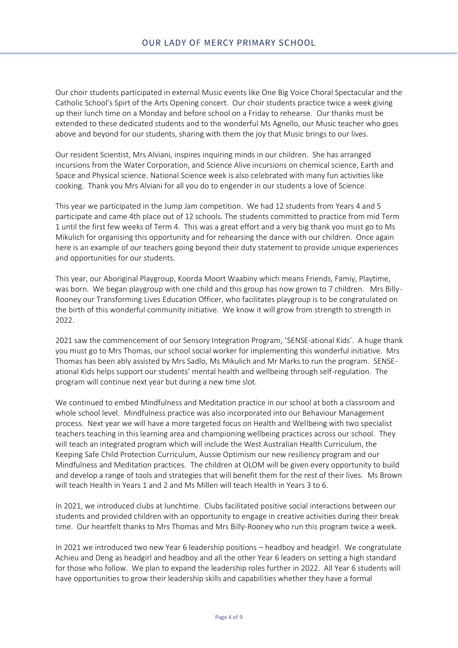Our choir students participated in external Music events like One Big Voice Choral Spectacular and the Catholic School's Spirt of the Arts Opening concert. Our choir students practice twice a week giving up their lunch time on a Monday and before school on a Friday to rehearse. Our thanks must be extended to these dedicated students and to the wonderful Ms Agnello, our Music teacher who goes above and beyond for our students, sharing with them the joy that Music brings to our lives.

Our resident Scientist, Mrs Alviani, inspires inquiring minds in our children. She has arranged incursions from the Water Corporation, and Science Alive incursions on chemical science, Earth and Space and Physical science. National Science week is also celebrated with many fun activities like cooking. Thank you Mrs Alviani for all you do to engender in our students a love of Science.

This year we participated in the Jump Jam competition. We had 12 students from Years 4 and 5 participate and came 4th place out of 12 schools. The students committed to practice from mid Term 1 until the first few weeks of Term 4. This was a great effort and a very big thank you must go to Ms Mikulich for organising this opportunity and for rehearsing the dance with our children. Once again here is an example of our teachers going beyond their duty statement to provide unique experiences and opportunities for our students.

This year, our Aboriginal Playgroup, Koorda Moort Waabiny which means Friends, Famiy, Playtime, was born. We began playgroup with one child and this group has now grown to 7 children. Mrs Billy-Rooney our Transforming Lives Education Officer, who facilitates playgroup is to be congratulated on the birth of this wonderful community initiative. We know it will grow from strength to strength in 2022.

2021 saw the commencement of our Sensory Integration Program, 'SENSE-ational Kids'. A huge thank you must go to Mrs Thomas, our school social worker for implementing this wonderful initiative. Mrs Thomas has been ably assisted by Mrs Sadlo, Ms Mikulich and Mr Marks to run the program. SENSEational Kids helps support our students' mental health and wellbeing through self-regulation. The program will continue next year but during a new time slot.

We continued to embed Mindfulness and Meditation practice in our school at both a classroom and whole school level. Mindfulness practice was also incorporated into our Behaviour Management process. Next year we will have a more targeted focus on Health and Wellbeing with two specialist teachers teaching in this learning area and championing wellbeing practices across our school. They will teach an integrated program which will include the West Australian Health Curriculum, the Keeping Safe Child Protection Curriculum, Aussie Optimism our new resiliency program and our Mindfulness and Meditation practices. The children at OLOM will be given every opportunity to build and develop a range of tools and strategies that will benefit them for the rest of their lives. Ms Brown will teach Health in Years 1 and 2 and Ms Millen will teach Health in Years 3 to 6.

In 2021, we introduced clubs at lunchtime. Clubs facilitated positive social interactions between our students and provided children with an opportunity to engage in creative activities during their break time. Our heartfelt thanks to Mrs Thomas and Mrs Billy-Rooney who run this program twice a week.

In 2021 we introduced two new Year 6 leadership positions – headboy and headgirl. We congratulate Achieu and Deng as headgirl and headboy and all the other Year 6 leaders on setting a high standard for those who follow. We plan to expand the leadership roles further in 2022. All Year 6 students will have opportunities to grow their leadership skills and capabilities whether they have a formal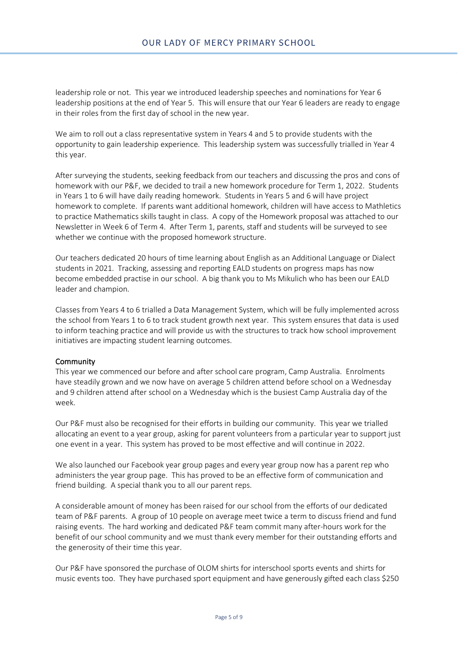leadership role or not. This year we introduced leadership speeches and nominations for Year 6 leadership positions at the end of Year 5. This will ensure that our Year 6 leaders are ready to engage in their roles from the first day of school in the new year.

We aim to roll out a class representative system in Years 4 and 5 to provide students with the opportunity to gain leadership experience. This leadership system was successfully trialled in Year 4 this year.

After surveying the students, seeking feedback from our teachers and discussing the pros and cons of homework with our P&F, we decided to trail a new homework procedure for Term 1, 2022. Students in Years 1 to 6 will have daily reading homework. Students in Years 5 and 6 will have project homework to complete. If parents want additional homework, children will have access to Mathletics to practice Mathematics skills taught in class. A copy of the Homework proposal was attached to our Newsletter in Week 6 of Term 4. After Term 1, parents, staff and students will be surveyed to see whether we continue with the proposed homework structure.

Our teachers dedicated 20 hours of time learning about English as an Additional Language or Dialect students in 2021. Tracking, assessing and reporting EALD students on progress maps has now become embedded practise in our school. A big thank you to Ms Mikulich who has been our EALD leader and champion.

Classes from Years 4 to 6 trialled a Data Management System, which will be fully implemented across the school from Years 1 to 6 to track student growth next year. This system ensures that data is used to inform teaching practice and will provide us with the structures to track how school improvement initiatives are impacting student learning outcomes.

#### **Community**

This year we commenced our before and after school care program, Camp Australia. Enrolments have steadily grown and we now have on average 5 children attend before school on a Wednesday and 9 children attend after school on a Wednesday which is the busiest Camp Australia day of the week.

Our P&F must also be recognised for their efforts in building our community. This year we trialled allocating an event to a year group, asking for parent volunteers from a particular year to support just one event in a year. This system has proved to be most effective and will continue in 2022.

We also launched our Facebook year group pages and every year group now has a parent rep who administers the year group page. This has proved to be an effective form of communication and friend building. A special thank you to all our parent reps.

A considerable amount of money has been raised for our school from the efforts of our dedicated team of P&F parents. A group of 10 people on average meet twice a term to discuss friend and fund raising events. The hard working and dedicated P&F team commit many after-hours work for the benefit of our school community and we must thank every member for their outstanding efforts and the generosity of their time this year.

Our P&F have sponsored the purchase of OLOM shirts for interschool sports events and shirts for music events too. They have purchased sport equipment and have generously gifted each class \$250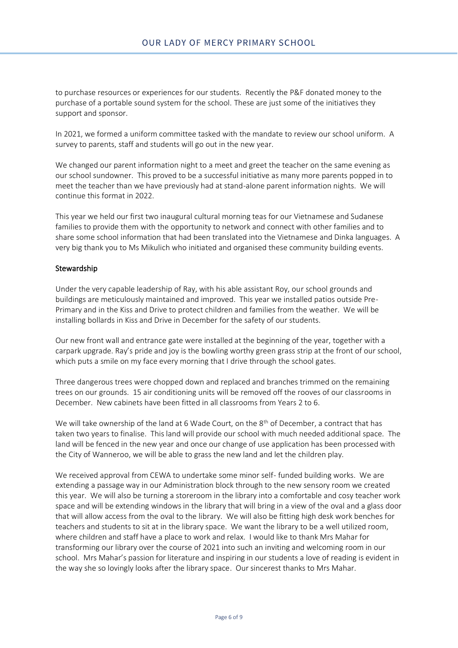to purchase resources or experiences for our students. Recently the P&F donated money to the purchase of a portable sound system for the school. These are just some of the initiatives they support and sponsor.

In 2021, we formed a uniform committee tasked with the mandate to review our school uniform. A survey to parents, staff and students will go out in the new year.

We changed our parent information night to a meet and greet the teacher on the same evening as our school sundowner. This proved to be a successful initiative as many more parents popped in to meet the teacher than we have previously had at stand-alone parent information nights. We will continue this format in 2022.

This year we held our first two inaugural cultural morning teas for our Vietnamese and Sudanese families to provide them with the opportunity to network and connect with other families and to share some school information that had been translated into the Vietnamese and Dinka languages. A very big thank you to Ms Mikulich who initiated and organised these community building events.

### **Stewardship**

Under the very capable leadership of Ray, with his able assistant Roy, our school grounds and buildings are meticulously maintained and improved. This year we installed patios outside Pre-Primary and in the Kiss and Drive to protect children and families from the weather. We will be installing bollards in Kiss and Drive in December for the safety of our students.

Our new front wall and entrance gate were installed at the beginning of the year, together with a carpark upgrade. Ray's pride and joy is the bowling worthy green grass strip at the front of our school, which puts a smile on my face every morning that I drive through the school gates.

Three dangerous trees were chopped down and replaced and branches trimmed on the remaining trees on our grounds. 15 air conditioning units will be removed off the rooves of our classrooms in December. New cabinets have been fitted in all classrooms from Years 2 to 6.

We will take ownership of the land at 6 Wade Court, on the  $8<sup>th</sup>$  of December, a contract that has taken two years to finalise. This land will provide our school with much needed additional space. The land will be fenced in the new year and once our change of use application has been processed with the City of Wanneroo, we will be able to grass the new land and let the children play.

We received approval from CEWA to undertake some minor self- funded building works. We are extending a passage way in our Administration block through to the new sensory room we created this year. We will also be turning a storeroom in the library into a comfortable and cosy teacher work space and will be extending windows in the library that will bring in a view of the oval and a glass door that will allow access from the oval to the library. We will also be fitting high desk work benches for teachers and students to sit at in the library space. We want the library to be a well utilized room, where children and staff have a place to work and relax. I would like to thank Mrs Mahar for transforming our library over the course of 2021 into such an inviting and welcoming room in our school. Mrs Mahar's passion for literature and inspiring in our students a love of reading is evident in the way she so lovingly looks after the library space. Our sincerest thanks to Mrs Mahar.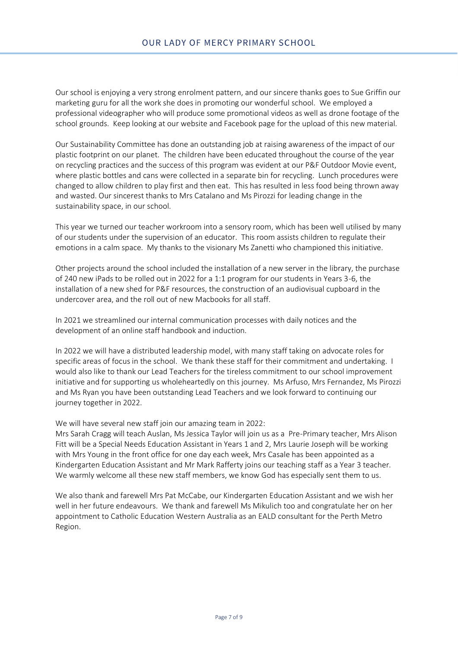Our school is enjoying a very strong enrolment pattern, and our sincere thanks goes to Sue Griffin our marketing guru for all the work she does in promoting our wonderful school. We employed a professional videographer who will produce some promotional videos as well as drone footage of the school grounds. Keep looking at our website and Facebook page for the upload of this new material.

Our Sustainability Committee has done an outstanding job at raising awareness of the impact of our plastic footprint on our planet. The children have been educated throughout the course of the year on recycling practices and the success of this program was evident at our P&F Outdoor Movie event, where plastic bottles and cans were collected in a separate bin for recycling. Lunch procedures were changed to allow children to play first and then eat. This has resulted in less food being thrown away and wasted. Our sincerest thanks to Mrs Catalano and Ms Pirozzi for leading change in the sustainability space, in our school.

This year we turned our teacher workroom into a sensory room, which has been well utilised by many of our students under the supervision of an educator. This room assists children to regulate their emotions in a calm space. My thanks to the visionary Ms Zanetti who championed this initiative.

Other projects around the school included the installation of a new server in the library, the purchase of 240 new iPads to be rolled out in 2022 for a 1:1 program for our students in Years 3-6, the installation of a new shed for P&F resources, the construction of an audiovisual cupboard in the undercover area, and the roll out of new Macbooks for all staff.

In 2021 we streamlined our internal communication processes with daily notices and the development of an online staff handbook and induction.

In 2022 we will have a distributed leadership model, with many staff taking on advocate roles for specific areas of focus in the school. We thank these staff for their commitment and undertaking. I would also like to thank our Lead Teachers for the tireless commitment to our school improvement initiative and for supporting us wholeheartedly on this journey. Ms Arfuso, Mrs Fernandez, Ms Pirozzi and Ms Ryan you have been outstanding Lead Teachers and we look forward to continuing our journey together in 2022.

We will have several new staff join our amazing team in 2022:

Mrs Sarah Cragg will teach Auslan, Ms Jessica Taylor will join us as a Pre-Primary teacher, Mrs Alison Fitt will be a Special Needs Education Assistant in Years 1 and 2, Mrs Laurie Joseph will be working with Mrs Young in the front office for one day each week, Mrs Casale has been appointed as a Kindergarten Education Assistant and Mr Mark Rafferty joins our teaching staff as a Year 3 teacher. We warmly welcome all these new staff members, we know God has especially sent them to us.

We also thank and farewell Mrs Pat McCabe, our Kindergarten Education Assistant and we wish her well in her future endeavours. We thank and farewell Ms Mikulich too and congratulate her on her appointment to Catholic Education Western Australia as an EALD consultant for the Perth Metro Region.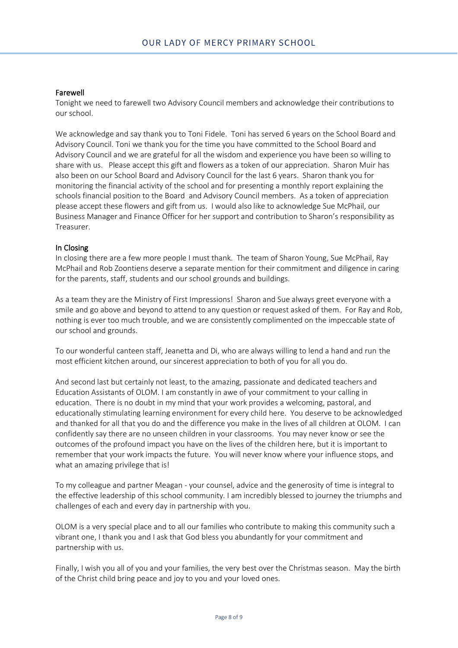#### Farewell

Tonight we need to farewell two Advisory Council members and acknowledge their contributions to our school.

We acknowledge and say thank you to Toni Fidele. Toni has served 6 years on the School Board and Advisory Council. Toni we thank you for the time you have committed to the School Board and Advisory Council and we are grateful for all the wisdom and experience you have been so willing to share with us. Please accept this gift and flowers as a token of our appreciation. Sharon Muir has also been on our School Board and Advisory Council for the last 6 years. Sharon thank you for monitoring the financial activity of the school and for presenting a monthly report explaining the schools financial position to the Board and Advisory Council members. As a token of appreciation please accept these flowers and gift from us. I would also like to acknowledge Sue McPhail, our Business Manager and Finance Officer for her support and contribution to Sharon's responsibility as Treasurer.

#### In Closing

In closing there are a few more people I must thank. The team of Sharon Young, Sue McPhail, Ray McPhail and Rob Zoontiens deserve a separate mention for their commitment and diligence in caring for the parents, staff, students and our school grounds and buildings.

As a team they are the Ministry of First Impressions! Sharon and Sue always greet everyone with a smile and go above and beyond to attend to any question or request asked of them. For Ray and Rob, nothing is ever too much trouble, and we are consistently complimented on the impeccable state of our school and grounds.

To our wonderful canteen staff, Jeanetta and Di, who are always willing to lend a hand and run the most efficient kitchen around, our sincerest appreciation to both of you for all you do.

And second last but certainly not least, to the amazing, passionate and dedicated teachers and Education Assistants of OLOM. I am constantly in awe of your commitment to your calling in education. There is no doubt in my mind that your work provides a welcoming, pastoral, and educationally stimulating learning environment for every child here. You deserve to be acknowledged and thanked for all that you do and the difference you make in the lives of all children at OLOM. I can confidently say there are no unseen children in your classrooms. You may never know or see the outcomes of the profound impact you have on the lives of the children here, but it is important to remember that your work impacts the future. You will never know where your influence stops, and what an amazing privilege that is!

To my colleague and partner Meagan - your counsel, advice and the generosity of time is integral to the effective leadership of this school community. I am incredibly blessed to journey the triumphs and challenges of each and every day in partnership with you.

OLOM is a very special place and to all our families who contribute to making this community such a vibrant one, I thank you and I ask that God bless you abundantly for your commitment and partnership with us.

Finally, I wish you all of you and your families, the very best over the Christmas season. May the birth of the Christ child bring peace and joy to you and your loved ones.